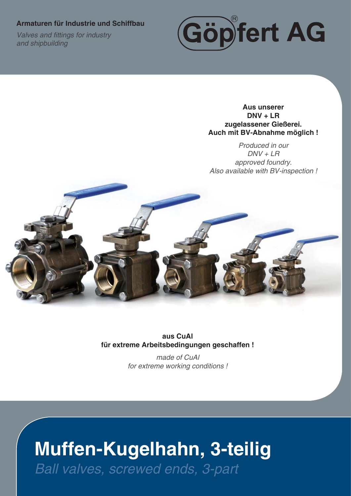#### **Armaturen für Industrie und Schiffbau**

**Valves and fittings for industry** *and shipbuilding*



**Aus unserer DNV + LR zugelassener Gießerei. Auch mit BV-Abnahme möglich !**

*Produced in our DNV + LR approved foundry. Also available with BV-inspection !*



**aus CuAl für extreme Arbeitsbedingungen geschaffen !**

> *made of CuAl for extreme working conditions !*

# **Muffen-Kugelhahn, 3-teilig**

*Ball valves, screwed ends, 3-part*